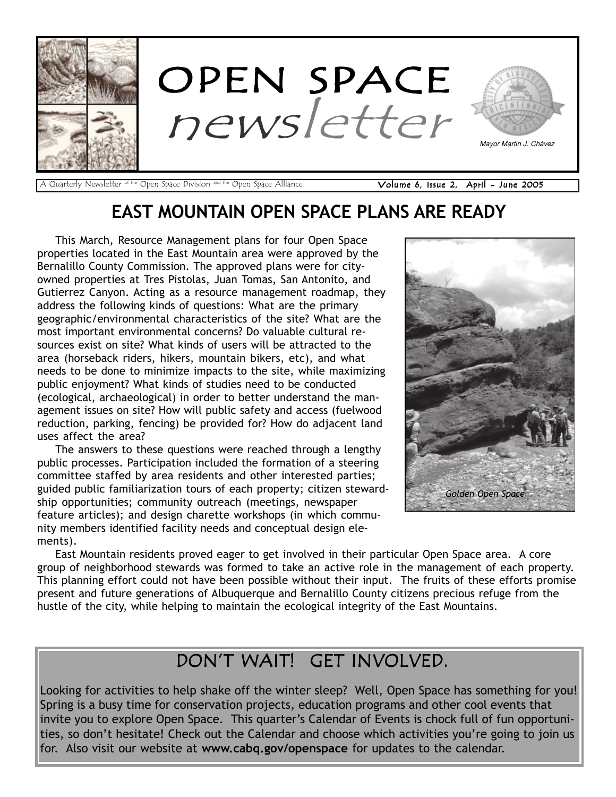

A Quarterly Newsletter <sup>of the</sup> Open Space Division <sup>and the</sup> Open Space Alliance **Volume 6, Issue 2, April - June 2005** 

### EAST MOUNTAIN OPEN SPACE PLANS ARE READY

This March, Resource Management plans for four Open Space properties located in the East Mountain area were approved by the Bernalillo County Commission. The approved plans were for cityowned properties at Tres Pistolas, Juan Tomas, San Antonito, and Gutierrez Canyon. Acting as a resource management roadmap, they address the following kinds of questions: What are the primary geographic/environmental characteristics of the site? What are the most important environmental concerns? Do valuable cultural resources exist on site? What kinds of users will be attracted to the area (horseback riders, hikers, mountain bikers, etc), and what needs to be done to minimize impacts to the site, while maximizing public enjoyment? What kinds of studies need to be conducted (ecological, archaeological) in order to better understand the management issues on site? How will public safety and access (fuelwood reduction, parking, fencing) be provided for? How do adjacent land uses affect the area?

The answers to these questions were reached through a lengthy public processes. Participation included the formation of a steering committee staffed by area residents and other interested parties; guided public familiarization tours of each property; citizen stewardship opportunities; community outreach (meetings, newspaper feature articles); and design charette workshops (in which community members identified facility needs and conceptual design elements).



East Mountain residents proved eager to get involved in their particular Open Space area. A core group of neighborhood stewards was formed to take an active role in the management of each property. This planning effort could not have been possible without their input. The fruits of these efforts promise present and future generations of Albuquerque and Bernalillo County citizens precious refuge from the hustle of the city, while helping to maintain the ecological integrity of the East Mountains.

### DONíT WAIT! GET INVOLVED.

Looking for activities to help shake off the winter sleep? Well, Open Space has something for you! Spring is a busy time for conservation projects, education programs and other cool events that invite you to explore Open Space. This quarter's Calendar of Events is chock full of fun opportunities, so don't hesitate! Check out the Calendar and choose which activities you're going to join us for. Also visit our website at www.cabq.gov/openspace for updates to the calendar.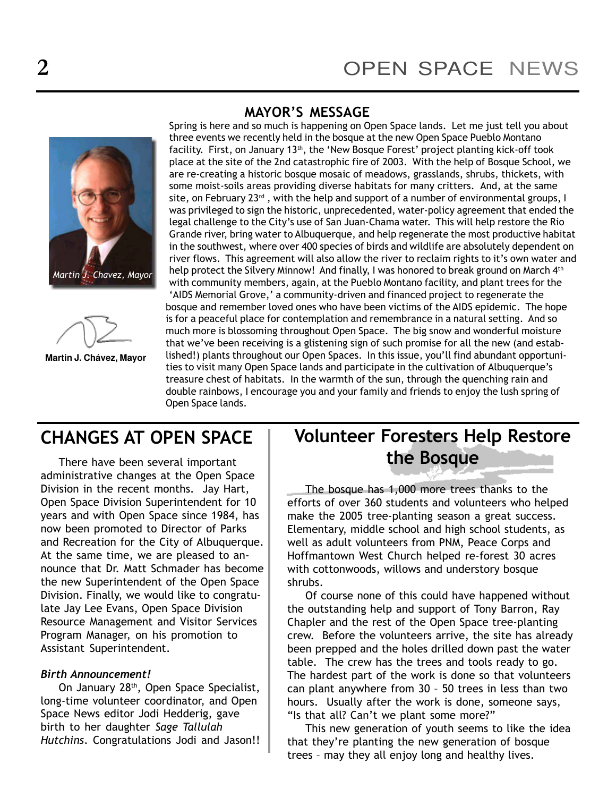### MAYOR'S MESSAGE





**Martin J. Chávez, Mayor**

Spring is here and so much is happening on Open Space lands. Let me just tell you about three events we recently held in the bosque at the new Open Space Pueblo Montano facility. First, on January 13<sup>th</sup>, the 'New Bosque Forest' project planting kick-off took place at the site of the 2nd catastrophic fire of 2003. With the help of Bosque School, we are re-creating a historic bosque mosaic of meadows, grasslands, shrubs, thickets, with some moist-soils areas providing diverse habitats for many critters. And, at the same site, on February  $23<sup>rd</sup>$ , with the help and support of a number of environmental groups, I was privileged to sign the historic, unprecedented, water-policy agreement that ended the legal challenge to the Cityís use of San Juan-Chama water. This will help restore the Rio Grande river, bring water to Albuquerque, and help regenerate the most productive habitat in the southwest, where over 400 species of birds and wildlife are absolutely dependent on river flows. This agreement will also allow the river to reclaim rights to it's own water and help protect the Silvery Minnow! And finally, I was honored to break ground on March 4<sup>th</sup> with community members, again, at the Pueblo Montano facility, and plant trees for the 'AIDS Memorial Grove,' a community-driven and financed project to regenerate the bosque and remember loved ones who have been victims of the AIDS epidemic. The hope is for a peaceful place for contemplation and remembrance in a natural setting. And so much more is blossoming throughout Open Space. The big snow and wonderful moisture that we've been receiving is a glistening sign of such promise for all the new (and established!) plants throughout our Open Spaces. In this issue, you'll find abundant opportunities to visit many Open Space lands and participate in the cultivation of Albuquerque's treasure chest of habitats. In the warmth of the sun, through the quenching rain and double rainbows, I encourage you and your family and friends to enjoy the lush spring of Open Space lands.

There have been several important administrative changes at the Open Space Division in the recent months. Jay Hart, Open Space Division Superintendent for 10 years and with Open Space since 1984, has now been promoted to Director of Parks and Recreation for the City of Albuquerque. At the same time, we are pleased to announce that Dr. Matt Schmader has become the new Superintendent of the Open Space Division. Finally, we would like to congratulate Jay Lee Evans, Open Space Division Resource Management and Visitor Services Program Manager, on his promotion to Assistant Superintendent.

#### Birth Announcement!

On January 28th, Open Space Specialist, long-time volunteer coordinator, and Open Space News editor Jodi Hedderig, gave birth to her daughter Sage Tallulah Hutchins. Congratulations Jodi and Jason!!

### CHANGES AT OPEN SPACE | Volunteer Foresters Help Restore the Bosque

The bosque has 1,000 more trees thanks to the efforts of over 360 students and volunteers who helped make the 2005 tree-planting season a great success. Elementary, middle school and high school students, as well as adult volunteers from PNM, Peace Corps and Hoffmantown West Church helped re-forest 30 acres with cottonwoods, willows and understory bosque shrubs.

Of course none of this could have happened without the outstanding help and support of Tony Barron, Ray Chapler and the rest of the Open Space tree-planting crew. Before the volunteers arrive, the site has already been prepped and the holes drilled down past the water table. The crew has the trees and tools ready to go. The hardest part of the work is done so that volunteers can plant anywhere from  $30 - 50$  trees in less than two hours. Usually after the work is done, someone says, "Is that all? Can't we plant some more?"

This new generation of youth seems to like the idea that they're planting the new generation of bosque trees - may they all enjoy long and healthy lives.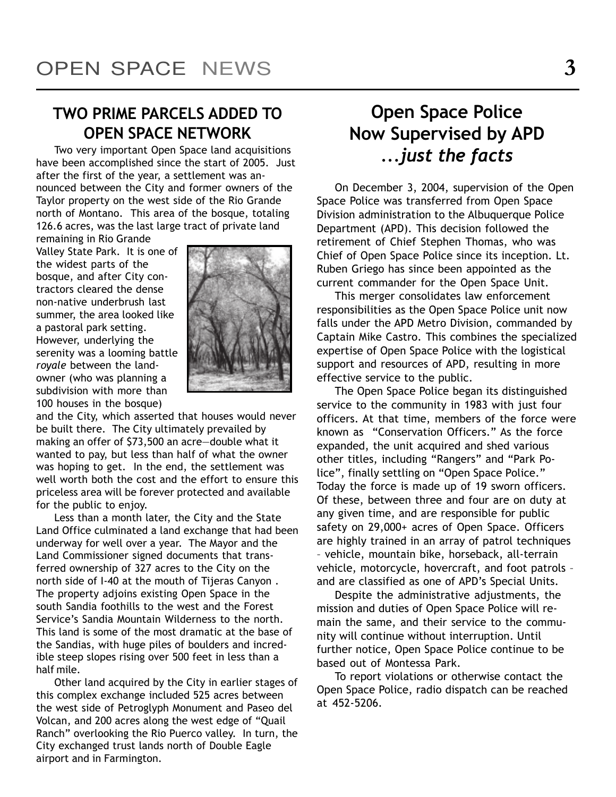### TWO PRIME PARCELS ADDED TO OPEN SPACE NETWORK

Two very important Open Space land acquisitions have been accomplished since the start of 2005. Just after the first of the year, a settlement was announced between the City and former owners of the Taylor property on the west side of the Rio Grande north of Montano. This area of the bosque, totaling 126.6 acres, was the last large tract of private land

remaining in Rio Grande Valley State Park. It is one of the widest parts of the bosque, and after City contractors cleared the dense non-native underbrush last summer, the area looked like a pastoral park setting. However, underlying the serenity was a looming battle royale between the landowner (who was planning a subdivision with more than 100 houses in the bosque)



and the City, which asserted that houses would never be built there. The City ultimately prevailed by making an offer of  $$73,500$  an acre-double what it wanted to pay, but less than half of what the owner was hoping to get. In the end, the settlement was well worth both the cost and the effort to ensure this priceless area will be forever protected and available for the public to enjoy.

Less than a month later, the City and the State Land Office culminated a land exchange that had been underway for well over a year. The Mayor and the Land Commissioner signed documents that transferred ownership of 327 acres to the City on the north side of I-40 at the mouth of Tijeras Canyon . The property adjoins existing Open Space in the south Sandia foothills to the west and the Forest Service's Sandia Mountain Wilderness to the north. This land is some of the most dramatic at the base of the Sandias, with huge piles of boulders and incredible steep slopes rising over 500 feet in less than a half mile.

Other land acquired by the City in earlier stages of this complex exchange included 525 acres between the west side of Petroglyph Monument and Paseo del Volcan, and 200 acres along the west edge of "Quail Ranch" overlooking the Rio Puerco valley. In turn, the City exchanged trust lands north of Double Eagle airport and in Farmington.

## Open Space Police Now Supervised by APD ...just the facts

On December 3, 2004, supervision of the Open Space Police was transferred from Open Space Division administration to the Albuquerque Police Department (APD). This decision followed the retirement of Chief Stephen Thomas, who was Chief of Open Space Police since its inception. Lt. Ruben Griego has since been appointed as the current commander for the Open Space Unit.

This merger consolidates law enforcement responsibilities as the Open Space Police unit now falls under the APD Metro Division, commanded by Captain Mike Castro. This combines the specialized expertise of Open Space Police with the logistical support and resources of APD, resulting in more effective service to the public.

The Open Space Police began its distinguished service to the community in 1983 with just four officers. At that time, members of the force were known as "Conservation Officers." As the force expanded, the unit acquired and shed various other titles, including "Rangers" and "Park Police", finally settling on "Open Space Police." Today the force is made up of 19 sworn officers. Of these, between three and four are on duty at any given time, and are responsible for public safety on 29,000+ acres of Open Space. Officers are highly trained in an array of patrol techniques - vehicle, mountain bike, horseback, all-terrain vehicle, motorcycle, hovercraft, and foot patrols and are classified as one of APD's Special Units.

Despite the administrative adjustments, the mission and duties of Open Space Police will remain the same, and their service to the community will continue without interruption. Until further notice, Open Space Police continue to be based out of Montessa Park.

To report violations or otherwise contact the Open Space Police, radio dispatch can be reached at 452-5206.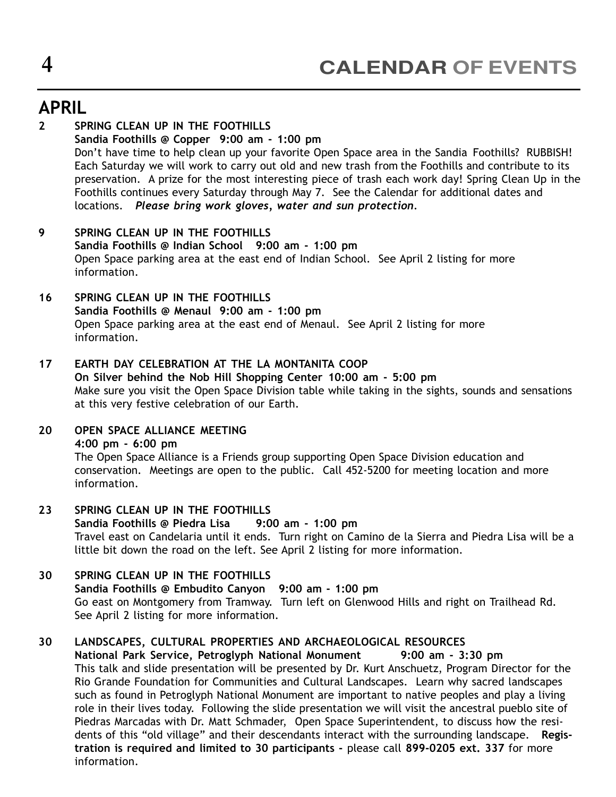### APRIL

#### 2 SPRING CLEAN UP IN THE FOOTHILLS Sandia Foothills @ Copper 9:00 am - 1:00 pm Donít have time to help clean up your favorite Open Space area in the Sandia Foothills? RUBBISH! Each Saturday we will work to carry out old and new trash from the Foothills and contribute to its preservation. A prize for the most interesting piece of trash each work day! Spring Clean Up in the Foothills continues every Saturday through May 7. See the Calendar for additional dates and locations. Please bring work gloves, water and sun protection.

#### 9 SPRING CLEAN UP IN THE FOOTHILLS Sandia Foothills @ Indian School 9:00 am - 1:00 pm Open Space parking area at the east end of Indian School. See April 2 listing for more information.

#### 16 SPRING CLEAN UP IN THE FOOTHILLS Sandia Foothills @ Menaul 9:00 am - 1:00 pm Open Space parking area at the east end of Menaul. See April 2 listing for more information.

#### 17 EARTH DAY CELEBRATION AT THE LA MONTANITA COOP On Silver behind the Nob Hill Shopping Center 10:00 am - 5:00 pm Make sure you visit the Open Space Division table while taking in the sights, sounds and sensations at this very festive celebration of our Earth.

#### 20 OPEN SPACE ALLIANCE MEETING

4:00 pm - 6:00 pm

The Open Space Alliance is a Friends group supporting Open Space Division education and conservation. Meetings are open to the public. Call 452-5200 for meeting location and more information.

#### 23 SPRING CLEAN UP IN THE FOOTHILLS Sandia Foothills @ Piedra Lisa 9:00 am - 1:00 pm Travel east on Candelaria until it ends. Turn right on Camino de la Sierra and Piedra Lisa will be a little bit down the road on the left. See April 2 listing for more information.

#### 30 SPRING CLEAN UP IN THE FOOTHILLS Sandia Foothills @ Embudito Canyon 9:00 am - 1:00 pm Go east on Montgomery from Tramway. Turn left on Glenwood Hills and right on Trailhead Rd. See April 2 listing for more information.

#### 30 LANDSCAPES, CULTURAL PROPERTIES AND ARCHAEOLOGICAL RESOURCES

National Park Service, Petroglyph National Monument 9:00 am - 3:30 pm This talk and slide presentation will be presented by Dr. Kurt Anschuetz, Program Director for the Rio Grande Foundation for Communities and Cultural Landscapes. Learn why sacred landscapes such as found in Petroglyph National Monument are important to native peoples and play a living role in their lives today. Following the slide presentation we will visit the ancestral pueblo site of Piedras Marcadas with Dr. Matt Schmader, Open Space Superintendent, to discuss how the residents of this "old village" and their descendants interact with the surrounding landscape. Registration is required and limited to 30 participants - please call 899-0205 ext. 337 for more information.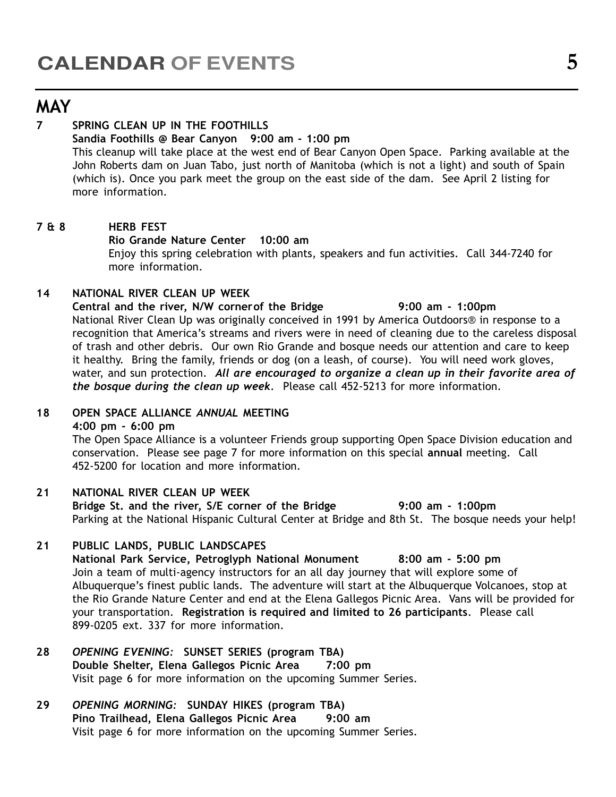### MAY

#### 7 SPRING CLEAN UP IN THE FOOTHILLS

#### Sandia Foothills @ Bear Canyon 9:00 am - 1:00 pm

This cleanup will take place at the west end of Bear Canyon Open Space. Parking available at the John Roberts dam on Juan Tabo, just north of Manitoba (which is not a light) and south of Spain (which is). Once you park meet the group on the east side of the dam. See April 2 listing for more information.

#### 7 & 8 HERB FEST

#### Rio Grande Nature Center 10:00 am

Enjoy this spring celebration with plants, speakers and fun activities. Call 344-7240 for more information.

#### 14 NATIONAL RIVER CLEAN UP WEEK

Central and the river, N/W cornerof the Bridge 9:00 am - 1:00pm National River Clean Up was originally conceived in 1991 by America Outdoors® in response to a recognition that America's streams and rivers were in need of cleaning due to the careless disposal of trash and other debris. Our own Rio Grande and bosque needs our attention and care to keep it healthy. Bring the family, friends or dog (on a leash, of course). You will need work gloves, water, and sun protection. All are encouraged to organize a clean up in their favorite area of the bosque during the clean up week. Please call 452-5213 for more information.

#### 18 OPEN SPACE ALLIANCE ANNUAL MEETING

#### 4:00 pm - 6:00 pm

The Open Space Alliance is a volunteer Friends group supporting Open Space Division education and conservation. Please see page 7 for more information on this special annual meeting. Call 452-5200 for location and more information.

#### 21 NATIONAL RIVER CLEAN UP WEEK

Bridge St. and the river, S/E corner of the Bridge 9:00 am - 1:00pm Parking at the National Hispanic Cultural Center at Bridge and 8th St. The bosque needs your help!

#### 21 PUBLIC LANDS, PUBLIC LANDSCAPES

National Park Service, Petroglyph National Monument 8:00 am - 5:00 pm Join a team of multi-agency instructors for an all day journey that will explore some of Albuquerque's finest public lands. The adventure will start at the Albuquerque Volcanoes, stop at the Rio Grande Nature Center and end at the Elena Gallegos Picnic Area. Vans will be provided for your transportation. Registration is required and limited to 26 participants. Please call 899-0205 ext. 337 for more information.

#### 28 OPENING EVENING: SUNSET SERIES (program TBA) Double Shelter, Elena Gallegos Picnic Area 7:00 pm Visit page 6 for more information on the upcoming Summer Series.

#### 29 OPENING MORNING: SUNDAY HIKES (program TBA) Pino Trailhead, Elena Gallegos Picnic Area 9:00 am Visit page 6 for more information on the upcoming Summer Series.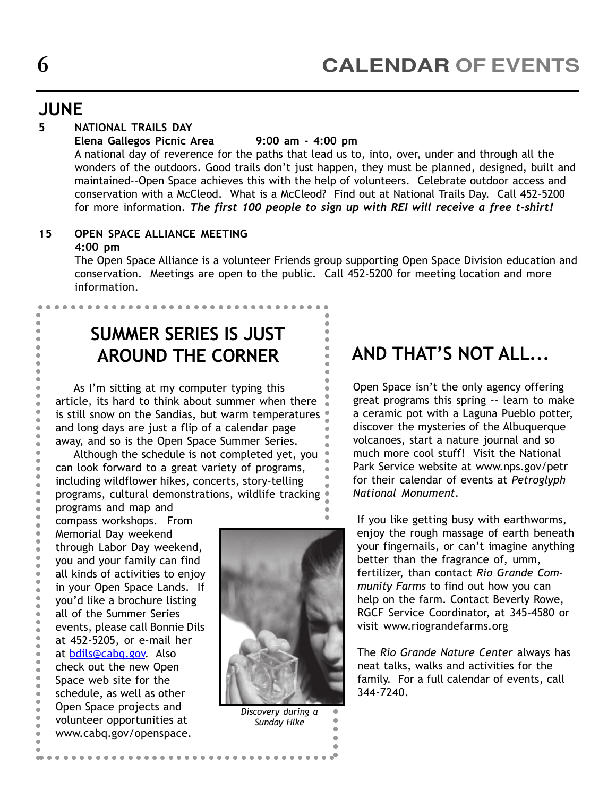### JUNE

### 5 NATIONAL TRAILS DAY

Elena Gallegos Picnic Area 9:00 am - 4:00 pm

A national day of reverence for the paths that lead us to, into, over, under and through all the wonders of the outdoors. Good trails don't just happen, they must be planned, designed, built and maintained--Open Space achieves this with the help of volunteers. Celebrate outdoor access and conservation with a McCleod. What is a McCleod? Find out at National Trails Day. Call 452-5200 for more information. The first 100 people to sign up with REI will receive a free t-shirt!

### 15 OPEN SPACE ALLIANCE MEETING

#### 4:00 pm

The Open Space Alliance is a volunteer Friends group supporting Open Space Division education and conservation. Meetings are open to the public. Call 452-5200 for meeting location and more information.

> 

> 

## SUMMER SERIES IS JUST AROUND THE CORNER

As I'm sitting at my computer typing this article, its hard to think about summer when there **the is still snow on the Sandias, but warm temperatures** and long days are just a flip of a calendar page away, and so is the Open Space Summer Series. \_\_\_\_\_ - '''''''

Although the schedule is not completed yet, you can look forward to a great variety of programs, including wildflower hikes, concerts, story-telling programs, cultural demonstrations, wildlife tracking - 1111.11 \_ \_ \_

. . . . . . . . . . . . . .

**programs and map and Compass workshops.** From Memorial Day weekend through Labor Day weekend, you and your family can find all kinds of activities to enjoy in your Open Space Lands. If **v** you'd like a brochure listing **all of the Summer Series** events, please call Bonnie Dils at 452-5205, or e-mail her at <u>bdils@cabq.gov</u>. Also • check out the new Open Space web site for the **schedule, as well as other Open Space projects and** volunteer opportunities at www.cabq.gov/openspace. - <u>www.i</u> - 1 - 1 \_\_\_\_\_ \_ \_ \_ . . . . \_\_\_\_\_\_\_\_\_



Discovery during a Sunday HIke

 

#### - - - AND THAT'S NOT ALL...

• Open Space isn't the only agency offering great programs this spring -- learn to make **a** ceramic pot with a Laguna Pueblo potter, **discover the mysteries of the Albuquerque**  volcanoes, start a nature journal and so much more cool stuff! Visit the National **Park Service website at www.nps.gov/petroller** \_\_\_\_\_\_ **for their calendar of events at Petroglyph**  National Monument. 

**If you like getting busy with earthworms,** enjoy the rough massage of earth beneath your fingernails, or can't imagine anything better than the fragrance of, umm, fertilizer, than contact Rio Grande Community Farms to find out how you can help on the farm. Contact Beverly Rowe, RGCF Service Coordinator, at 345-4580 or visit www.riograndefarms.org

> The Rio Grande Nature Center always has neat talks, walks and activities for the family. For a full calendar of events, call 344-7240.

## 6

----------------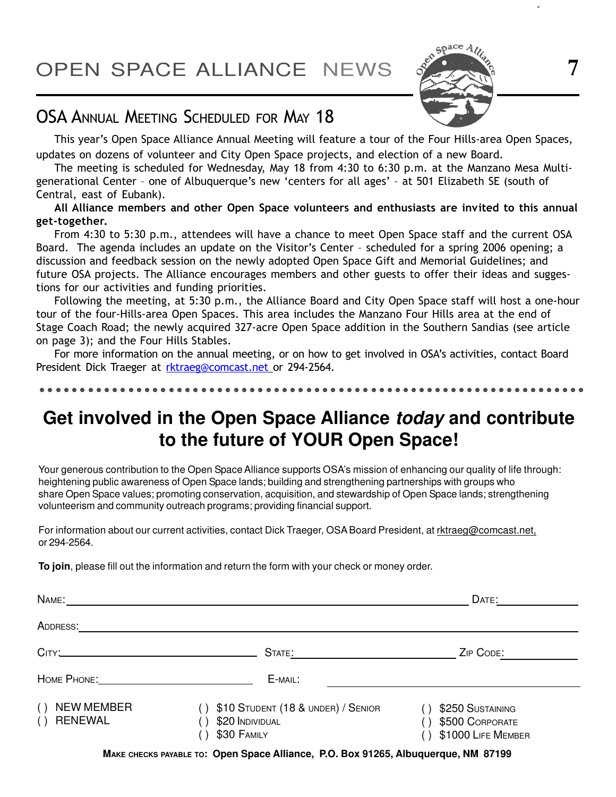OPEN SPACE ALLIANCE NEWS 3 7



### OSA ANNUAL MEETING SCHEDULED FOR MAY 18

This year's Open Space Alliance Annual Meeting will feature a tour of the Four Hills-area Open Spaces, updates on dozens of volunteer and City Open Space projects, and election of a new Board.

The meeting is scheduled for Wednesday, May 18 from 4:30 to 6:30 p.m. at the Manzano Mesa Multigenerational Center - one of Albuquerque's new 'centers for all ages' - at 501 Elizabeth SE (south of Central, east of Eubank).

All Alliance members and other Open Space volunteers and enthusiasts are invited to this annual get-together.

From 4:30 to 5:30 p.m., attendees will have a chance to meet Open Space staff and the current OSA Board. The agenda includes an update on the Visitor's Center - scheduled for a spring 2006 opening; a discussion and feedback session on the newly adopted Open Space Gift and Memorial Guidelines; and future OSA projects. The Alliance encourages members and other guests to offer their ideas and suggestions for our activities and funding priorities.

Following the meeting, at 5:30 p.m., the Alliance Board and City Open Space staff will host a one-hour tour of the four-Hills-area Open Spaces. This area includes the Manzano Four Hills area at the end of Stage Coach Road; the newly acquired 327-acre Open Space addition in the Southern Sandias (see article on page 3); and the Four Hills Stables.

For more information on the annual meeting, or on how to get involved in OSA's activities, contact Board President Dick Traeger at rktraeg@comcast.net or 294-2564.

### **Get involved in the Open Space Alliance today and contribute to the future of YOUR Open Space!**

Your generous contribution to the Open Space Alliance supports OSA's mission of enhancing our quality of life through: heightening public awareness of Open Space lands; building and strengthening partnerships with groups who share Open Space values; promoting conservation, acquisition, and stewardship of Open Space lands; strengthening volunteerism and community outreach programs; providing financial support.

For information about our current activities, contact Dick Traeger, OSA Board President, at rktraeg@comcast.net, or 294-2564.

**To join**, please fill out the information and return the form with your check or money order.

| NAME:                                             |                                                                      | DATE:                                                     |
|---------------------------------------------------|----------------------------------------------------------------------|-----------------------------------------------------------|
| ADDRESS:                                          |                                                                      |                                                           |
|                                                   | STATE:                                                               | ZIP CODE:                                                 |
|                                                   | E-MAIL:                                                              |                                                           |
| <b>NEW MEMBER</b><br>( )<br><b>RENEWAL</b><br>( ) | \$10 STUDENT (18 & UNDER) / SENIOR<br>\$20 INDIVIDUAL<br>\$30 FAMILY | \$250 SUSTAINING<br>\$500 CORPORATE<br>\$1000 LIFE MEMBER |
|                                                   |                                                                      |                                                           |

**MAKE CHECKS PAYABLE TO: Open Space Alliance, P.O. Box 91265, Albuquerque, NM 87199**